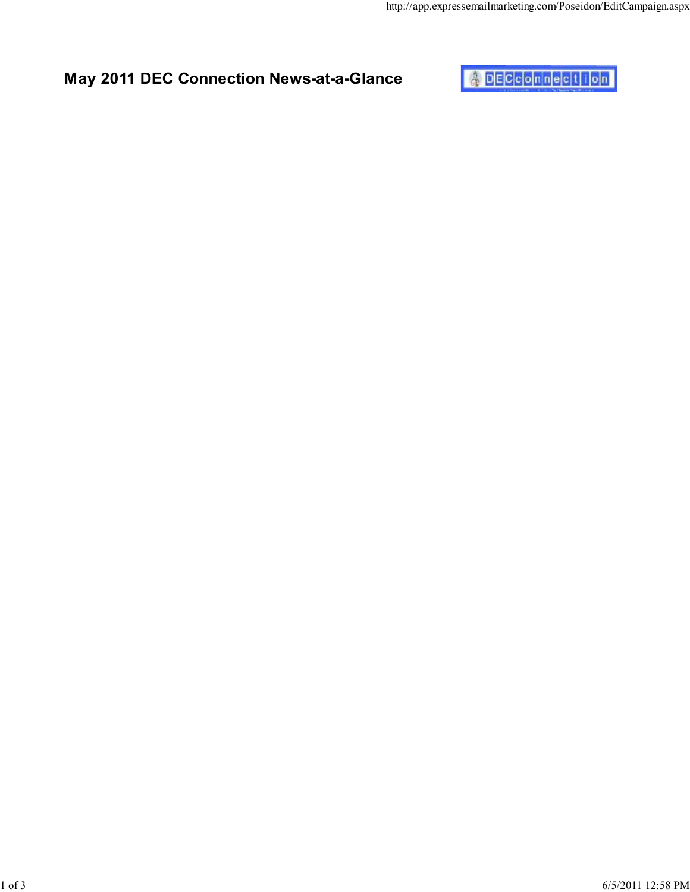

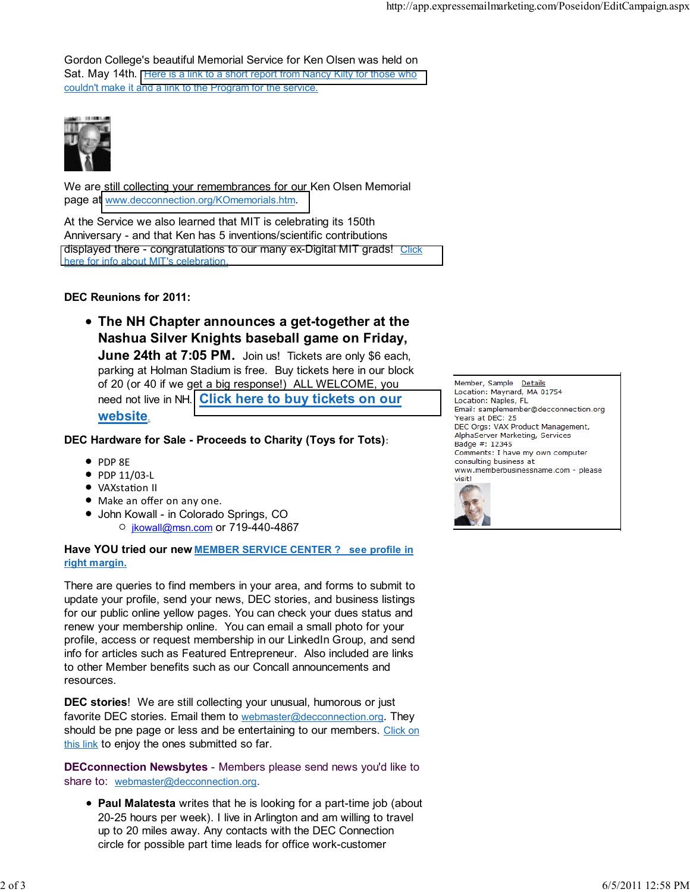Gordon College's beautiful Memorial Service for Ken Olsen was held on Sat. May 14th. [Here is a link to a short report from Nancy Kilty for those who](http://www.decconnection.org/aboutKO.htm) couldn't make it and a link to the Program for the service.



We are still collecting your remembrances for our Ken Olsen Memorial page at [www.decconnection.org/KOmemorials.htm](http://www.decconnection.org/KOmemorials.htm).

At the Service we also learned that MIT is celebrating its 150th Anniversary - and that Ken has 5 inventions/scientific contributions [displayed there - congratulations to our many ex-Digital MIT grads!](http://mit150.mit.edu/exhibition) Click here for info about MIT's celebration.

## DEC Reunions for 2011:

The NH Chapter announces a get-together at the Nashua Silver Knights baseball game on Friday, June 24th at 7:05 PM. Join us! Tickets are only \$6 each, parking at Holman Stadium is free. Buy tickets here in our block of 20 (or 40 if we get a big response!) ALL WELCOME, you need not live in NH. [Click here to buy tickets on our](http://www.decconnection.org/tickets-silverknights.php) website.

## DEC Hardware for Sale - Proceeds to Charity (Toys for Tots):

- $\bullet$  PDP  $RF$
- $\bullet$  PDP 11/03-L
- VAXstation II
- Make an offer on any one.
- John Kowall in Colorado Springs, CO O jkowall@msn.com or 719-440-4867

## Have YOU tried our new MEMBER SERVICE CENTER ? see profile in right margin.

There are queries to find members in your area, and forms to submit to update your profile, send your news, DEC stories, and business listings for our public online yellow pages. You can check your dues status and renew your membership online. You can email a small photo for your profile, access or request membership in our LinkedIn Group, and send info for articles such as Featured Entrepreneur. Also included are links to other Member benefits such as our Concall announcements and resources.

DEC stories! We are still collecting your unusual, humorous or just favorite DEC stories. Email them to webmaster@decconnection.org. They should be pne page or less and be entertaining to our members. Click on this link to enjoy the ones submitted so far.

DECconnection Newsbytes - Members please send news you'd like to share to: webmaster@decconnection.org.

• Paul Malatesta writes that he is looking for a part-time job (about 20-25 hours per week). I live in Arlington and am willing to travel up to 20 miles away. Any contacts with the DEC Connection circle for possible part time leads for office work-customer

Member, Sample Details Location: Maynard, MA 01754 Location: Naples, FL Email: samplemember@decconnection.org Years at DEC: 25 DEC Orgs: VAX Product Management, AlphaServer Marketing, Services Badge #: 12345 Comments: I have my own computer consulting business at www.memberbusinessname.com - please visit!